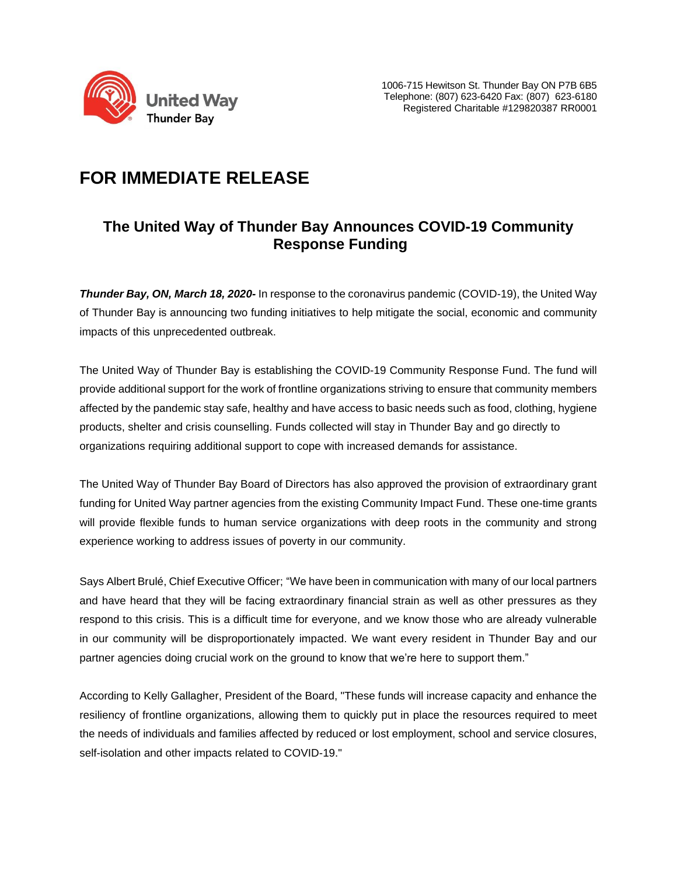

## **FOR IMMEDIATE RELEASE**

## **The United Way of Thunder Bay Announces COVID-19 Community Response Funding**

*Thunder Bay, ON, March 18, 2020-* In response to the coronavirus pandemic (COVID-19), the United Way of Thunder Bay is announcing two funding initiatives to help mitigate the social, economic and community impacts of this unprecedented outbreak.

The United Way of Thunder Bay is establishing the COVID-19 Community Response Fund. The fund will provide additional support for the work of frontline organizations striving to ensure that community members affected by the pandemic stay safe, healthy and have access to basic needs such as food, clothing, hygiene products, shelter and crisis counselling. Funds collected will stay in Thunder Bay and go directly to organizations requiring additional support to cope with increased demands for assistance.

The United Way of Thunder Bay Board of Directors has also approved the provision of extraordinary grant funding for United Way partner agencies from the existing Community Impact Fund. These one-time grants will provide flexible funds to human service organizations with deep roots in the community and strong experience working to address issues of poverty in our community.

Says Albert Brulé, Chief Executive Officer; "We have been in communication with many of our local partners and have heard that they will be facing extraordinary financial strain as well as other pressures as they respond to this crisis. This is a difficult time for everyone, and we know those who are already vulnerable in our community will be disproportionately impacted. We want every resident in Thunder Bay and our partner agencies doing crucial work on the ground to know that we're here to support them."

According to Kelly Gallagher, President of the Board, "These funds will increase capacity and enhance the resiliency of frontline organizations, allowing them to quickly put in place the resources required to meet the needs of individuals and families affected by reduced or lost employment, school and service closures, self-isolation and other impacts related to COVID-19."